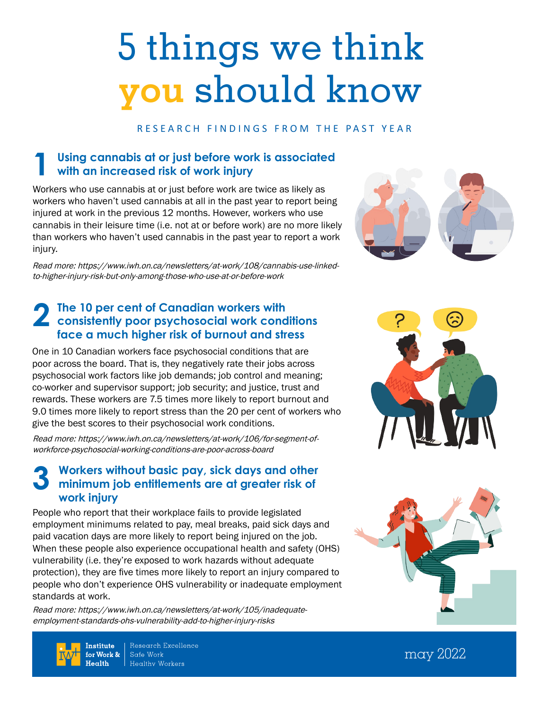# 5 things we think **you** should know

#### RESEARCH FINDINGS FROM THE PAST YEAR

# **Using cannabis at or just before work is associated 1 with an increased risk of work injury**

Workers who use cannabis at or just before work are twice as likely as workers who haven't used cannabis at all in the past year to report being injured at work in the previous 12 months. However, workers who use cannabis in their leisure time (i.e. not at or before work) are no more likely than workers who haven't used cannabis in the past year to report a work injury.

Read more: [https://www.iwh.on.ca/newsletters/at-work/108/cannabis-use-linked](https://www.iwh.on.ca/newsletters/at-work/108/cannabis-use-linked-to-higher-injury-risk-but-only-among-those-who-use-at-or-before-work)[to-higher-injury-risk-but-only-among-those-who-use-at-or-before-work](https://www.iwh.on.ca/newsletters/at-work/108/cannabis-use-linked-to-higher-injury-risk-but-only-among-those-who-use-at-or-before-work)

#### **The 10 per cent of Canadian workers with**  2 The 10 per cent of Canadian workers with<br>
consistently poor psychosocial work conditions<br>
face a month bigher side of humant and these **face a much higher risk of burnout and stress**

One in 10 Canadian workers face psychosocial conditions that are poor across the board. That is, they negatively rate their jobs across psychosocial work factors like job demands; job control and meaning; co-worker and supervisor support; job security; and justice, trust and rewards. These workers are 7.5 times more likely to report burnout and 9.0 times more likely to report stress than the 20 per cent of workers who give the best scores to their psychosocial work conditions.

Read more: [https://www.iwh.on.ca/newsletters/at-work/106/for-segment-of](https://www.iwh.on.ca/newsletters/at-work/106/for-segment-of-workforce-psychosocial-working-conditions-are-poor-across-board )[workforce-psychosocial-working-conditions-are-poor-across-board](https://www.iwh.on.ca/newsletters/at-work/106/for-segment-of-workforce-psychosocial-working-conditions-are-poor-across-board ) 

#### **Workers without basic pay, sick days and other minimum job entitlements are at greater risk of work injury 3**

People who report that their workplace fails to provide legislated employment minimums related to pay, meal breaks, paid sick days and paid vacation days are more likely to report being injured on the job. When these people also experience occupational health and safety (OHS) vulnerability (i.e. they're exposed to work hazards without adequate protection), they are five times more likely to report an injury compared to people who don't experience OHS vulnerability or inadequate employment standards at work.

Read more: [https://www.iwh.on.ca/newsletters/at-work/105/inadequate](https://www.iwh.on.ca/newsletters/at-work/105/inadequate-employment-standards-ohs-vulnerability-add-to-higher-injury-risks)[employment-standards-ohs-vulnerability-add-to-higher-injury-risks](https://www.iwh.on.ca/newsletters/at-work/105/inadequate-employment-standards-ohs-vulnerability-add-to-higher-injury-risks)





**Institute** for Work &  $H = cH$ 

Research Excellence Safe Work Healthy Workers

may 2022